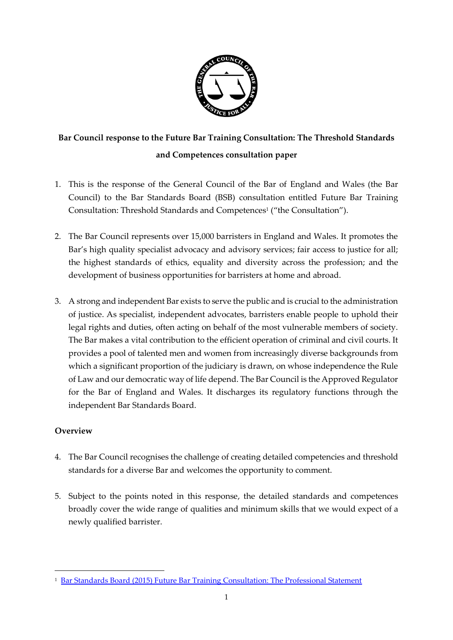

# **Bar Council response to the Future Bar Training Consultation: The Threshold Standards and Competences consultation paper**

- 1. This is the response of the General Council of the Bar of England and Wales (the Bar Council) to the Bar Standards Board (BSB) consultation entitled Future Bar Training Consultation: Threshold Standards and Competences<sup>1</sup> ("the Consultation").
- 2. The Bar Council represents over 15,000 barristers in England and Wales. It promotes the Bar's high quality specialist advocacy and advisory services; fair access to justice for all; the highest standards of ethics, equality and diversity across the profession; and the development of business opportunities for barristers at home and abroad.
- 3. A strong and independent Bar exists to serve the public and is crucial to the administration of justice. As specialist, independent advocates, barristers enable people to uphold their legal rights and duties, often acting on behalf of the most vulnerable members of society. The Bar makes a vital contribution to the efficient operation of criminal and civil courts. It provides a pool of talented men and women from increasingly diverse backgrounds from which a significant proportion of the judiciary is drawn, on whose independence the Rule of Law and our democratic way of life depend. The Bar Council is the Approved Regulator for the Bar of England and Wales. It discharges its regulatory functions through the independent Bar Standards Board.

# **Overview**

-

- 4. The Bar Council recognises the challenge of creating detailed competencies and threshold standards for a diverse Bar and welcomes the opportunity to comment.
- 5. Subject to the points noted in this response, the detailed standards and competences broadly cover the wide range of qualities and minimum skills that we would expect of a newly qualified barrister.

<sup>1</sup> [Bar Standards Board \(2015\) Future Bar Training Consultation: The Professional Statement](https://www.barstandardsboard.org.uk/media/1661393/professional_statement_consultation.pdf)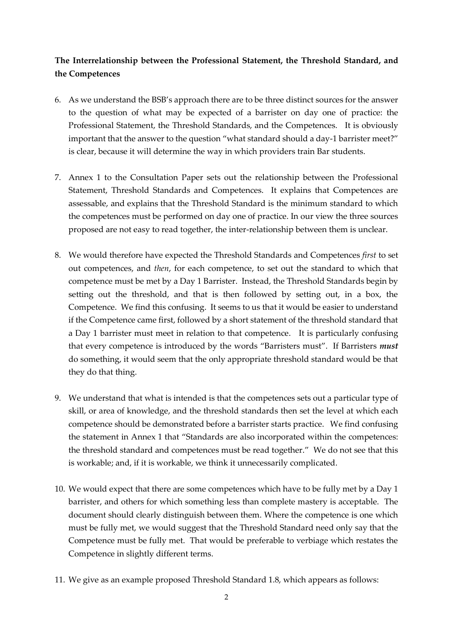# **The Interrelationship between the Professional Statement, the Threshold Standard, and the Competences**

- 6. As we understand the BSB's approach there are to be three distinct sources for the answer to the question of what may be expected of a barrister on day one of practice: the Professional Statement, the Threshold Standards, and the Competences. It is obviously important that the answer to the question "what standard should a day-1 barrister meet?" is clear, because it will determine the way in which providers train Bar students.
- 7. Annex 1 to the Consultation Paper sets out the relationship between the Professional Statement, Threshold Standards and Competences. It explains that Competences are assessable, and explains that the Threshold Standard is the minimum standard to which the competences must be performed on day one of practice. In our view the three sources proposed are not easy to read together, the inter-relationship between them is unclear.
- 8. We would therefore have expected the Threshold Standards and Competences *first* to set out competences, and *then*, for each competence, to set out the standard to which that competence must be met by a Day 1 Barrister. Instead, the Threshold Standards begin by setting out the threshold, and that is then followed by setting out, in a box, the Competence. We find this confusing. It seems to us that it would be easier to understand if the Competence came first, followed by a short statement of the threshold standard that a Day 1 barrister must meet in relation to that competence. It is particularly confusing that every competence is introduced by the words "Barristers must". If Barristers *must* do something, it would seem that the only appropriate threshold standard would be that they do that thing.
- 9. We understand that what is intended is that the competences sets out a particular type of skill, or area of knowledge, and the threshold standards then set the level at which each competence should be demonstrated before a barrister starts practice. We find confusing the statement in Annex 1 that "Standards are also incorporated within the competences: the threshold standard and competences must be read together." We do not see that this is workable; and, if it is workable, we think it unnecessarily complicated.
- 10. We would expect that there are some competences which have to be fully met by a Day 1 barrister, and others for which something less than complete mastery is acceptable. The document should clearly distinguish between them. Where the competence is one which must be fully met, we would suggest that the Threshold Standard need only say that the Competence must be fully met. That would be preferable to verbiage which restates the Competence in slightly different terms.
- 11. We give as an example proposed Threshold Standard 1.8, which appears as follows: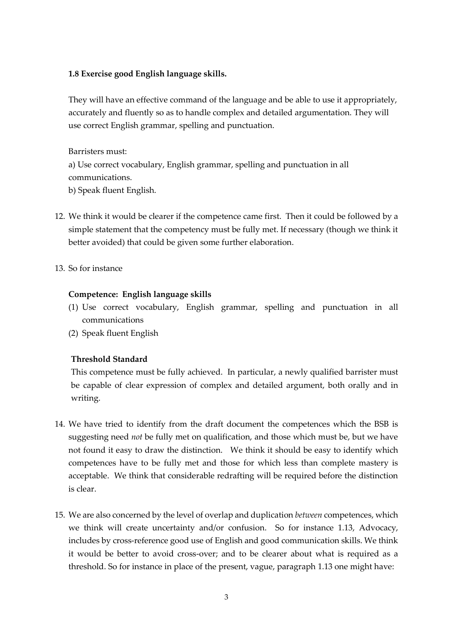### **1.8 Exercise good English language skills.**

They will have an effective command of the language and be able to use it appropriately, accurately and fluently so as to handle complex and detailed argumentation. They will use correct English grammar, spelling and punctuation.

Barristers must:

a) Use correct vocabulary, English grammar, spelling and punctuation in all communications.

b) Speak fluent English.

- 12. We think it would be clearer if the competence came first. Then it could be followed by a simple statement that the competency must be fully met. If necessary (though we think it better avoided) that could be given some further elaboration.
- 13. So for instance

# **Competence: English language skills**

- (1) Use correct vocabulary, English grammar, spelling and punctuation in all communications
- (2) Speak fluent English

# **Threshold Standard**

This competence must be fully achieved. In particular, a newly qualified barrister must be capable of clear expression of complex and detailed argument, both orally and in writing.

- 14. We have tried to identify from the draft document the competences which the BSB is suggesting need *not* be fully met on qualification, and those which must be, but we have not found it easy to draw the distinction. We think it should be easy to identify which competences have to be fully met and those for which less than complete mastery is acceptable. We think that considerable redrafting will be required before the distinction is clear.
- 15. We are also concerned by the level of overlap and duplication *between* competences, which we think will create uncertainty and/or confusion. So for instance 1.13, Advocacy, includes by cross-reference good use of English and good communication skills. We think it would be better to avoid cross-over; and to be clearer about what is required as a threshold. So for instance in place of the present, vague, paragraph 1.13 one might have: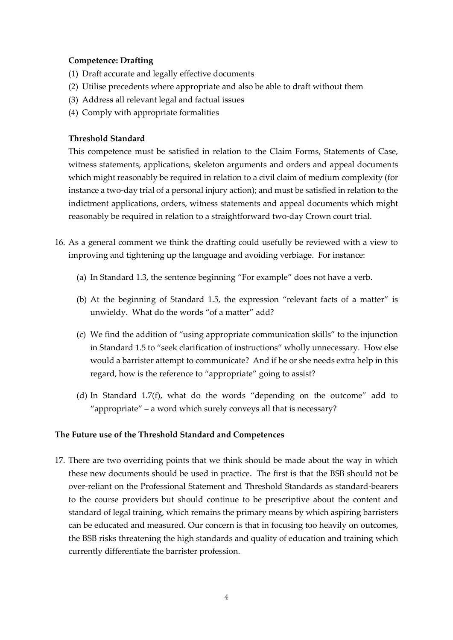## **Competence: Drafting**

- (1) Draft accurate and legally effective documents
- (2) Utilise precedents where appropriate and also be able to draft without them
- (3) Address all relevant legal and factual issues
- (4) Comply with appropriate formalities

## **Threshold Standard**

This competence must be satisfied in relation to the Claim Forms, Statements of Case, witness statements, applications, skeleton arguments and orders and appeal documents which might reasonably be required in relation to a civil claim of medium complexity (for instance a two-day trial of a personal injury action); and must be satisfied in relation to the indictment applications, orders, witness statements and appeal documents which might reasonably be required in relation to a straightforward two-day Crown court trial.

- 16. As a general comment we think the drafting could usefully be reviewed with a view to improving and tightening up the language and avoiding verbiage. For instance:
	- (a) In Standard 1.3, the sentence beginning "For example" does not have a verb.
	- (b) At the beginning of Standard 1.5, the expression "relevant facts of a matter" is unwieldy. What do the words "of a matter" add?
	- (c) We find the addition of "using appropriate communication skills" to the injunction in Standard 1.5 to "seek clarification of instructions" wholly unnecessary. How else would a barrister attempt to communicate? And if he or she needs extra help in this regard, how is the reference to "appropriate" going to assist?
	- (d) In Standard 1.7(f), what do the words "depending on the outcome" add to "appropriate" – a word which surely conveys all that is necessary?

### **The Future use of the Threshold Standard and Competences**

17. There are two overriding points that we think should be made about the way in which these new documents should be used in practice. The first is that the BSB should not be over-reliant on the Professional Statement and Threshold Standards as standard-bearers to the course providers but should continue to be prescriptive about the content and standard of legal training, which remains the primary means by which aspiring barristers can be educated and measured. Our concern is that in focusing too heavily on outcomes, the BSB risks threatening the high standards and quality of education and training which currently differentiate the barrister profession.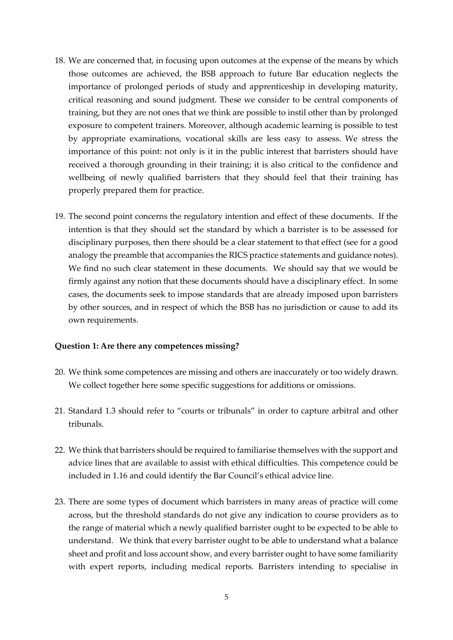- 18. We are concerned that, in focusing upon outcomes at the expense of the means by which those outcomes are achieved, the BSB approach to future Bar education neglects the importance of prolonged periods of study and apprenticeship in developing maturity, critical reasoning and sound judgment. These we consider to be central components of training, but they are not ones that we think are possible to instil other than by prolonged exposure to competent trainers. Moreover, although academic learning is possible to test by appropriate examinations, vocational skills are less easy to assess. We stress the importance of this point: not only is it in the public interest that barristers should have received a thorough grounding in their training; it is also critical to the confidence and wellbeing of newly qualified barristers that they should feel that their training has properly prepared them for practice.
- 19. The second point concerns the regulatory intention and effect of these documents. If the intention is that they should set the standard by which a barrister is to be assessed for disciplinary purposes, then there should be a clear statement to that effect (see for a good analogy the preamble that accompanies the RICS practice statements and guidance notes). We find no such clear statement in these documents. We should say that we would be firmly against any notion that these documents should have a disciplinary effect. In some cases, the documents seek to impose standards that are already imposed upon barristers by other sources, and in respect of which the BSB has no jurisdiction or cause to add its own requirements.

#### **Question 1: Are there any competences missing?**

- 20. We think some competences are missing and others are inaccurately or too widely drawn. We collect together here some specific suggestions for additions or omissions.
- 21. Standard 1.3 should refer to "courts or tribunals" in order to capture arbitral and other tribunals.
- 22. We think that barristers should be required to familiarise themselves with the support and advice lines that are available to assist with ethical difficulties. This competence could be included in 1.16 and could identify the Bar Council's ethical advice line.
- 23. There are some types of document which barristers in many areas of practice will come across, but the threshold standards do not give any indication to course providers as to the range of material which a newly qualified barrister ought to be expected to be able to understand. We think that every barrister ought to be able to understand what a balance sheet and profit and loss account show, and every barrister ought to have some familiarity with expert reports, including medical reports. Barristers intending to specialise in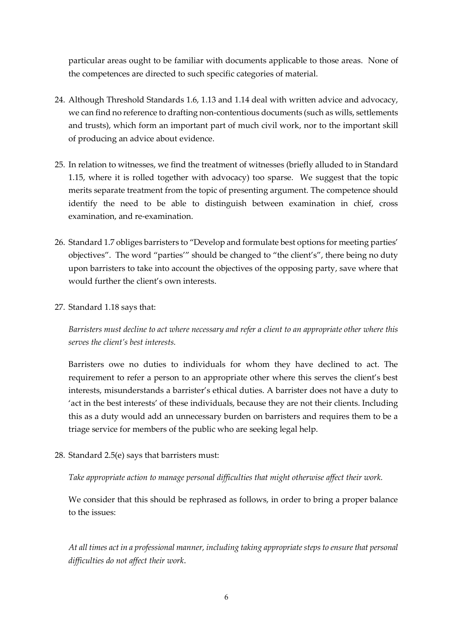particular areas ought to be familiar with documents applicable to those areas. None of the competences are directed to such specific categories of material.

- 24. Although Threshold Standards 1.6, 1.13 and 1.14 deal with written advice and advocacy, we can find no reference to drafting non-contentious documents (such as wills, settlements and trusts), which form an important part of much civil work, nor to the important skill of producing an advice about evidence.
- 25. In relation to witnesses, we find the treatment of witnesses (briefly alluded to in Standard 1.15, where it is rolled together with advocacy) too sparse. We suggest that the topic merits separate treatment from the topic of presenting argument. The competence should identify the need to be able to distinguish between examination in chief, cross examination, and re-examination.
- 26. Standard 1.7 obliges barristers to "Develop and formulate best options for meeting parties' objectives". The word "parties'" should be changed to "the client's", there being no duty upon barristers to take into account the objectives of the opposing party, save where that would further the client's own interests.
- 27. Standard 1.18 says that:

*Barristers must decline to act where necessary and refer a client to an appropriate other where this serves the client's best interests.*

Barristers owe no duties to individuals for whom they have declined to act. The requirement to refer a person to an appropriate other where this serves the client's best interests, misunderstands a barrister's ethical duties. A barrister does not have a duty to 'act in the best interests' of these individuals, because they are not their clients. Including this as a duty would add an unnecessary burden on barristers and requires them to be a triage service for members of the public who are seeking legal help.

28. Standard 2.5(e) says that barristers must:

### *Take appropriate action to manage personal difficulties that might otherwise affect their work.*

We consider that this should be rephrased as follows, in order to bring a proper balance to the issues:

*At all times act in a professional manner, including taking appropriate steps to ensure that personal difficulties do not affect their work*.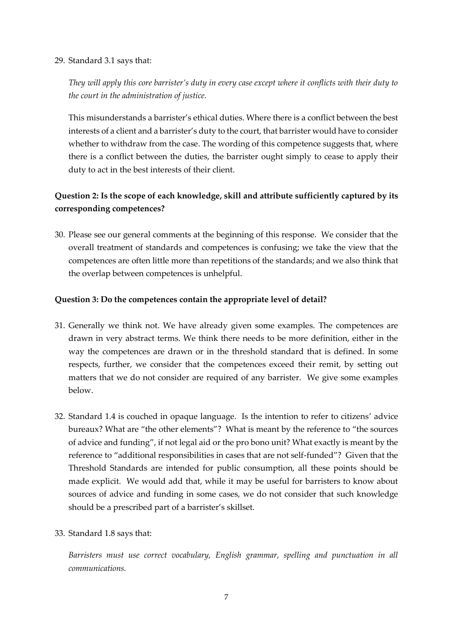### 29. Standard 3.1 says that:

*They will apply this core barrister's duty in every case except where it conflicts with their duty to the court in the administration of justice.*

This misunderstands a barrister's ethical duties. Where there is a conflict between the best interests of a client and a barrister's duty to the court, that barrister would have to consider whether to withdraw from the case. The wording of this competence suggests that, where there is a conflict between the duties, the barrister ought simply to cease to apply their duty to act in the best interests of their client.

# **Question 2: Is the scope of each knowledge, skill and attribute sufficiently captured by its corresponding competences?**

30. Please see our general comments at the beginning of this response. We consider that the overall treatment of standards and competences is confusing; we take the view that the competences are often little more than repetitions of the standards; and we also think that the overlap between competences is unhelpful.

### **Question 3: Do the competences contain the appropriate level of detail?**

- 31. Generally we think not. We have already given some examples. The competences are drawn in very abstract terms. We think there needs to be more definition, either in the way the competences are drawn or in the threshold standard that is defined. In some respects, further, we consider that the competences exceed their remit, by setting out matters that we do not consider are required of any barrister. We give some examples below.
- 32. Standard 1.4 is couched in opaque language. Is the intention to refer to citizens' advice bureaux? What are "the other elements"? What is meant by the reference to "the sources of advice and funding", if not legal aid or the pro bono unit? What exactly is meant by the reference to "additional responsibilities in cases that are not self-funded"? Given that the Threshold Standards are intended for public consumption, all these points should be made explicit. We would add that, while it may be useful for barristers to know about sources of advice and funding in some cases, we do not consider that such knowledge should be a prescribed part of a barrister's skillset.

### 33. Standard 1.8 says that:

*Barristers must use correct vocabulary, English grammar, spelling and punctuation in all communications.*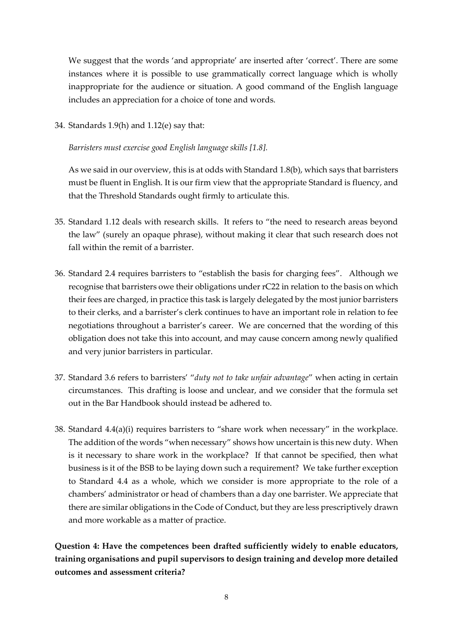We suggest that the words 'and appropriate' are inserted after 'correct'. There are some instances where it is possible to use grammatically correct language which is wholly inappropriate for the audience or situation. A good command of the English language includes an appreciation for a choice of tone and words.

34. Standards 1.9(h) and 1.12(e) say that:

*Barristers must exercise good English language skills [1.8].*

As we said in our overview, this is at odds with Standard 1.8(b), which says that barristers must be fluent in English. It is our firm view that the appropriate Standard is fluency, and that the Threshold Standards ought firmly to articulate this.

- 35. Standard 1.12 deals with research skills. It refers to "the need to research areas beyond the law" (surely an opaque phrase), without making it clear that such research does not fall within the remit of a barrister.
- 36. Standard 2.4 requires barristers to "establish the basis for charging fees". Although we recognise that barristers owe their obligations under rC22 in relation to the basis on which their fees are charged, in practice this task is largely delegated by the most junior barristers to their clerks, and a barrister's clerk continues to have an important role in relation to fee negotiations throughout a barrister's career. We are concerned that the wording of this obligation does not take this into account, and may cause concern among newly qualified and very junior barristers in particular.
- 37. Standard 3.6 refers to barristers' "*duty not to take unfair advantage*" when acting in certain circumstances. This drafting is loose and unclear, and we consider that the formula set out in the Bar Handbook should instead be adhered to.
- 38. Standard 4.4(a)(i) requires barristers to "share work when necessary" in the workplace. The addition of the words "when necessary" shows how uncertain is this new duty. When is it necessary to share work in the workplace? If that cannot be specified, then what business is it of the BSB to be laying down such a requirement? We take further exception to Standard 4.4 as a whole, which we consider is more appropriate to the role of a chambers' administrator or head of chambers than a day one barrister. We appreciate that there are similar obligations in the Code of Conduct, but they are less prescriptively drawn and more workable as a matter of practice.

**Question 4: Have the competences been drafted sufficiently widely to enable educators, training organisations and pupil supervisors to design training and develop more detailed outcomes and assessment criteria?**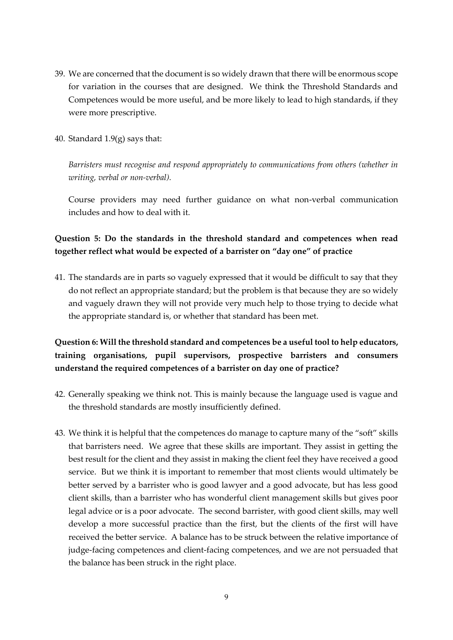- 39. We are concerned that the document is so widely drawn that there will be enormous scope for variation in the courses that are designed. We think the Threshold Standards and Competences would be more useful, and be more likely to lead to high standards, if they were more prescriptive.
- 40. Standard  $1.9(g)$  says that:

*Barristers must recognise and respond appropriately to communications from others (whether in writing, verbal or non-verbal).*

Course providers may need further guidance on what non-verbal communication includes and how to deal with it.

# **Question 5: Do the standards in the threshold standard and competences when read together reflect what would be expected of a barrister on "day one" of practice**

41. The standards are in parts so vaguely expressed that it would be difficult to say that they do not reflect an appropriate standard; but the problem is that because they are so widely and vaguely drawn they will not provide very much help to those trying to decide what the appropriate standard is, or whether that standard has been met.

# **Question 6: Will the threshold standard and competences be a useful tool to help educators, training organisations, pupil supervisors, prospective barristers and consumers understand the required competences of a barrister on day one of practice?**

- 42. Generally speaking we think not. This is mainly because the language used is vague and the threshold standards are mostly insufficiently defined.
- 43. We think it is helpful that the competences do manage to capture many of the "soft" skills that barristers need. We agree that these skills are important. They assist in getting the best result for the client and they assist in making the client feel they have received a good service. But we think it is important to remember that most clients would ultimately be better served by a barrister who is good lawyer and a good advocate, but has less good client skills, than a barrister who has wonderful client management skills but gives poor legal advice or is a poor advocate. The second barrister, with good client skills, may well develop a more successful practice than the first, but the clients of the first will have received the better service. A balance has to be struck between the relative importance of judge-facing competences and client-facing competences, and we are not persuaded that the balance has been struck in the right place.